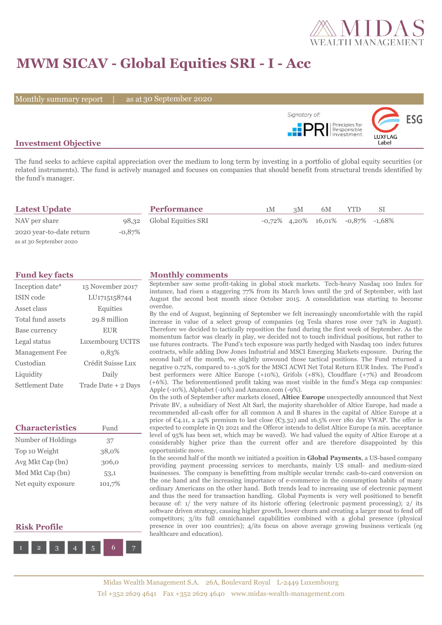

# **MWM SICAV - Global Equities SRI - I - Acc**

Monthly summary report | as at 30 September 2020



## **Investment Objective**

The fund seeks to achieve capital appreciation over the medium to long term by investing in a portfolio of global equity securities (or related instruments). The fund is actively managed and focuses on companies that should benefit from structural trends identified by the fund's manager.

| <b>Latest Update</b>     |           | <b>Performance</b>        | 1M | 3M | 6M | <b>YTD</b>                                 | SI. |  |
|--------------------------|-----------|---------------------------|----|----|----|--------------------------------------------|-----|--|
| NAV per share            |           | 98,32 Global Equities SRI |    |    |    | $-0.72\%$ 4.20% 16.01% $-0.87\%$ $-1.68\%$ |     |  |
| 2020 year-to-date return | $-0.87\%$ |                           |    |    |    |                                            |     |  |
| as at 30 September 2020  |           |                           |    |    |    |                                            |     |  |

| Inception date*        | 15 November 2017    |
|------------------------|---------------------|
| ISIN code              | LU1715158744        |
| Asset class            | Equities            |
| Total fund assets      | 29.8 million        |
| Base currency          | <b>EUR</b>          |
| Legal status           | Luxembourg UCITS    |
| <b>Management Fee</b>  | 0.83%               |
| Custodian              | Crédit Suisse Lux   |
| Liquidity              | Daily               |
| <b>Settlement Date</b> | Trade Date + 2 Days |

| <b>Characteristics</b> | Fund   |  |  |
|------------------------|--------|--|--|
| Number of Holdings     | 37     |  |  |
| Top 10 Weight          | 38,0%  |  |  |
| Avg Mkt Cap (bn)       | 306,0  |  |  |
| Med Mkt Cap (bn)       | 53,1   |  |  |
| Net equity exposure    | 101,7% |  |  |

## **Risk Profile**



### **Fund key facts Monthly comments**

September saw some profit-taking in global stock markets. Tech-heavy Nasdaq 100 Index for instance, had risen a staggering 77% from its March lows until the 3rd of September, with last August the second best month since October 2015. A consolidation was starting to become overdue.

By the end of August, beginning of September we felt increasingly uncomfortable with the rapid increase in value of a select group of companies (eg Tesla shares rose over 74% in August). Therefore we decided to tactically reposition the fund during the first week of September. As the momentum factor was clearly in play, we decided not to touch individual positions, but rather to use futures contracts. The Fund's tech exposure was partly hedged with Nasdaq 100 index futures contracts, while adding Dow Jones Industrial and MSCI Emerging Markets exposure. During the second half of the month, we slightly unwound those tactical positions. The Fund returned a negative 0.72%, compared to -1.30% for the MSCI ACWI Net Total Return EUR Index. The Fund's best performers were Altice Europe (+10%), Grifols (+8%), Cloudflare (+7%) and Broadcom (+6%). The beforementioned profit taking was most visible in the fund's Mega cap companies: Apple (-10%), Alphabet (-10%) and Amazon.com (-9%).

On the 10th of September after markets closed, **Altice Europe** unexpectedly announced that Next Private BV, a subsidiary of Next Alt Sarl, the majority shareholder of Altice Europe, had made a recommended all-cash offer for all common A and B shares in the capital of Altice Europe at a price of  $\mathfrak{C}_4$ .11, a 24% premium to last close ( $\mathfrak{C}_3$ .32) and 16.5% over 180 day VWAP. The offer is expected to complete in Q1 2021 and the Offeror intends to delist Altice Europe (a min. acceptance level of 95% has been set, which may be waved). We had valued the equity of Altice Europe at a considerably higher price than the current offer and are therefore disappointed by this opportunistic move.

In the second half of the month we initiated a position in **Global Payments**, a US-based company providing payment processing services to merchants, mainly US small- and medium-sized businesses. The company is benefitting from multiple secular trends: cash-to-card conversion on the one hand and the increasing importance of e-commerce in the consumption habits of many ordinary Americans on the other hand. Both trends lead to increasing use of electronic payment and thus the need for transaction handling. Global Payments is very well positioned to benefit because of: 1/ the very nature of its historic offering (electronic payment processing); 2/ its software driven strategy, causing higher growth, lower churn and creating a larger moat to fend off competitors; 3/its full omnichannel capabilities combined with a global presence (physical presence in over 100 countries); 4/its focus on above average growing business verticals (eg healthcare and education).